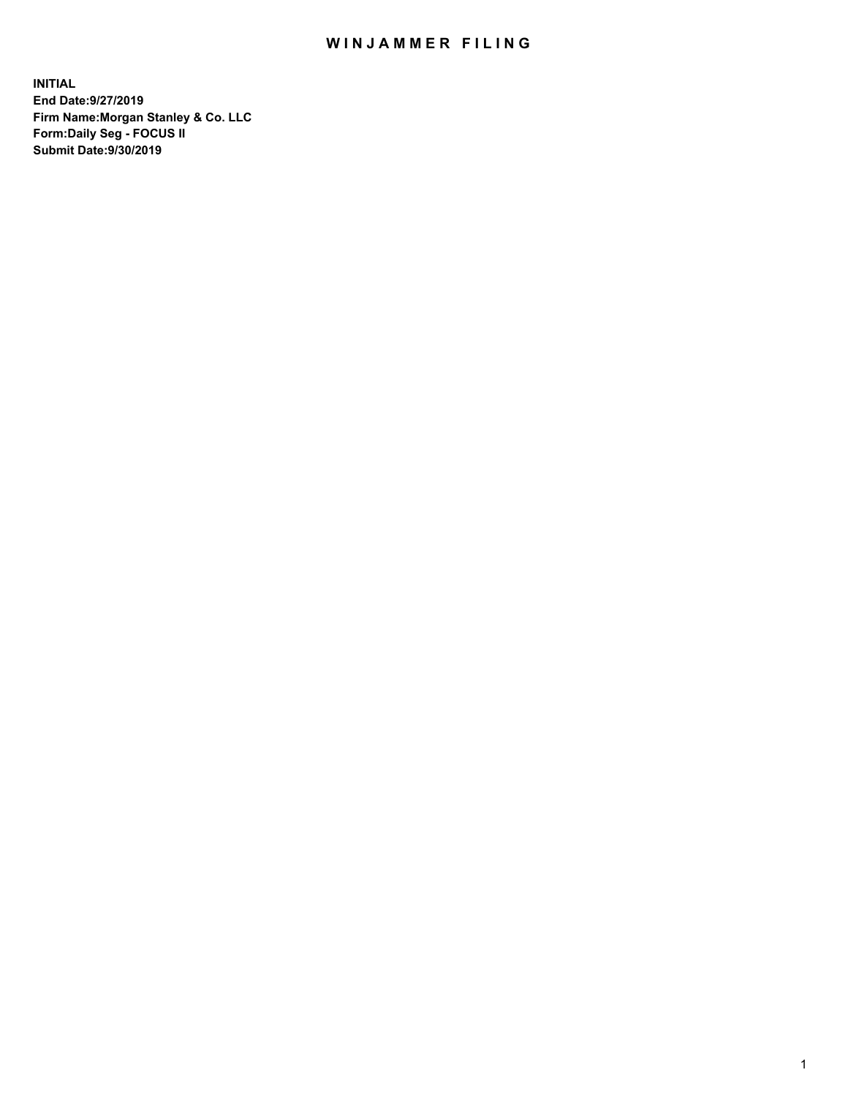## WIN JAMMER FILING

**INITIAL End Date:9/27/2019 Firm Name:Morgan Stanley & Co. LLC Form:Daily Seg - FOCUS II Submit Date:9/30/2019**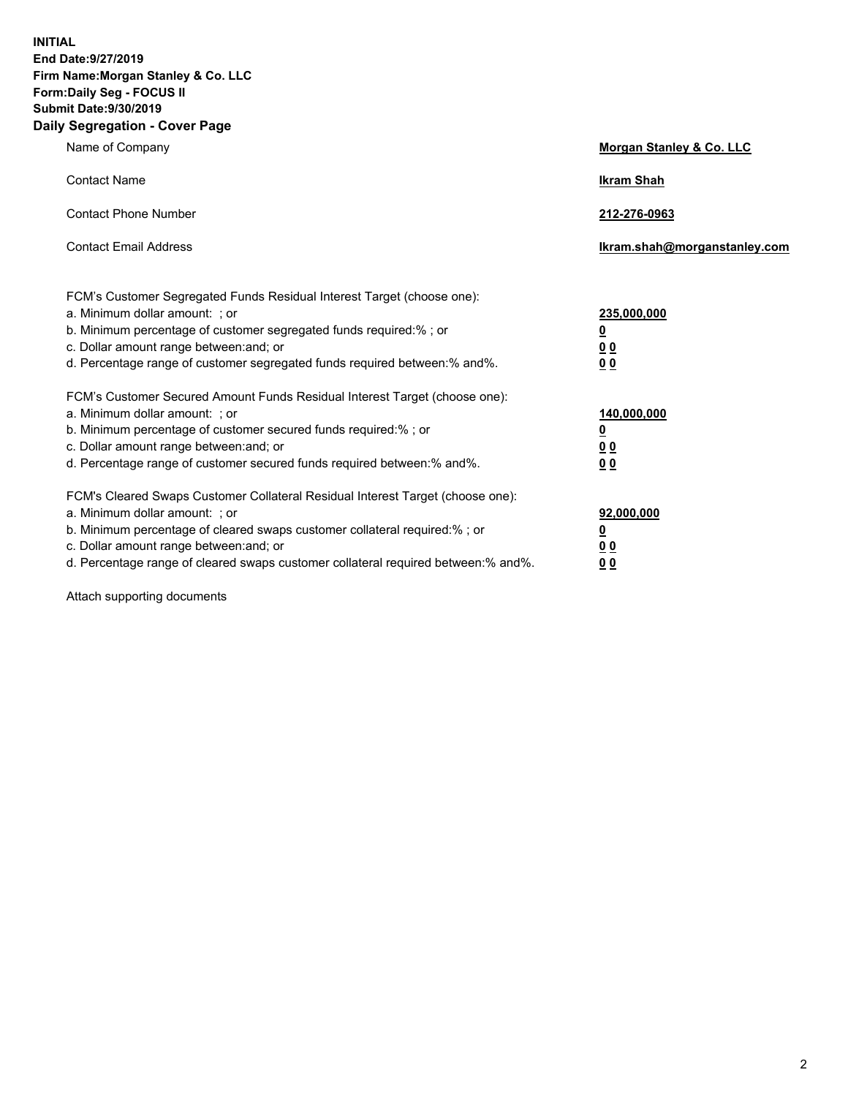**INITIAL End Date:9/27/2019 Firm Name:Morgan Stanley & Co. LLC Form:Daily Seg - FOCUS II Submit Date:9/30/2019 Daily Segregation - Cover Page**

| Name of Company                                                                                                                                                                                                                                                                                                                | Morgan Stanley & Co. LLC                               |
|--------------------------------------------------------------------------------------------------------------------------------------------------------------------------------------------------------------------------------------------------------------------------------------------------------------------------------|--------------------------------------------------------|
| <b>Contact Name</b>                                                                                                                                                                                                                                                                                                            | <b>Ikram Shah</b>                                      |
| <b>Contact Phone Number</b>                                                                                                                                                                                                                                                                                                    | 212-276-0963                                           |
| <b>Contact Email Address</b>                                                                                                                                                                                                                                                                                                   | lkram.shah@morganstanley.com                           |
| FCM's Customer Segregated Funds Residual Interest Target (choose one):<br>a. Minimum dollar amount: ; or<br>b. Minimum percentage of customer segregated funds required:% ; or<br>c. Dollar amount range between: and; or<br>d. Percentage range of customer segregated funds required between:% and%.                         | 235,000,000<br><u>0</u><br><u>0 0</u><br>0 Q           |
| FCM's Customer Secured Amount Funds Residual Interest Target (choose one):<br>a. Minimum dollar amount: ; or<br>b. Minimum percentage of customer secured funds required:%; or<br>c. Dollar amount range between: and; or<br>d. Percentage range of customer secured funds required between:% and%.                            | 140,000,000<br><u>0</u><br><u>00</u><br>0 <sub>0</sub> |
| FCM's Cleared Swaps Customer Collateral Residual Interest Target (choose one):<br>a. Minimum dollar amount: ; or<br>b. Minimum percentage of cleared swaps customer collateral required:% ; or<br>c. Dollar amount range between: and; or<br>d. Percentage range of cleared swaps customer collateral required between:% and%. | 92,000,000<br><u>0</u><br><u>00</u><br>0 <sup>0</sup>  |

Attach supporting documents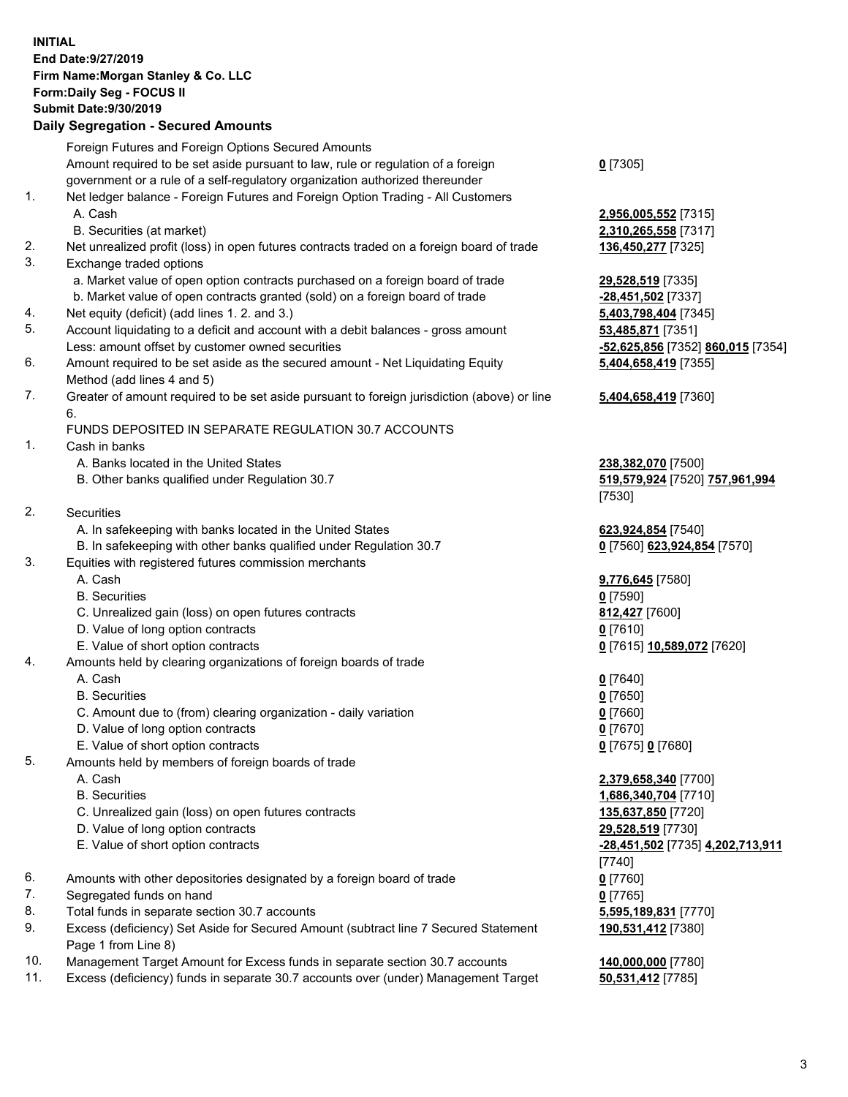## **INITIAL End Date:9/27/2019 Firm Name:Morgan Stanley & Co. LLC Form:Daily Seg - FOCUS II Submit Date:9/30/2019 Daily Segregation - Secured Amounts**

Foreign Futures and Foreign Options Secured Amounts Amount required to be set aside pursuant to law, rule or regulation of a foreign government or a rule of a self-regulatory organization authorized thereunder **0** [7305] 1. Net ledger balance - Foreign Futures and Foreign Option Trading - All Customers A. Cash **2,956,005,552** [7315] B. Securities (at market) **2,310,265,558** [7317] 2. Net unrealized profit (loss) in open futures contracts traded on a foreign board of trade **136,450,277** [7325] 3. Exchange traded options a. Market value of open option contracts purchased on a foreign board of trade **29,528,519** [7335] b. Market value of open contracts granted (sold) on a foreign board of trade **-28,451,502** [7337] 4. Net equity (deficit) (add lines 1. 2. and 3.) **5,403,798,404** [7345] 5. Account liquidating to a deficit and account with a debit balances - gross amount **53,485,871** [7351] Less: amount offset by customer owned securities **-52,625,856** [7352] **860,015** [7354] 6. Amount required to be set aside as the secured amount - Net Liquidating Equity Method (add lines 4 and 5) 7. Greater of amount required to be set aside pursuant to foreign jurisdiction (above) or line 6. FUNDS DEPOSITED IN SEPARATE REGULATION 30.7 ACCOUNTS 1. Cash in banks A. Banks located in the United States **238,382,070** [7500] B. Other banks qualified under Regulation 30.7 **519,579,924** [7520] **757,961,994** [7530] 2. Securities A. In safekeeping with banks located in the United States **623,924,854** [7540] B. In safekeeping with other banks qualified under Regulation 30.7 **0** [7560] **623,924,854** [7570] 3. Equities with registered futures commission merchants A. Cash **9,776,645** [7580] B. Securities **0** [7590] C. Unrealized gain (loss) on open futures contracts **812,427** [7600] D. Value of long option contracts **0** [7610] E. Value of short option contracts **0** [7615] **10,589,072** [7620] 4. Amounts held by clearing organizations of foreign boards of trade A. Cash **0** [7640] B. Securities **0** [7650] C. Amount due to (from) clearing organization - daily variation **0** [7660] D. Value of long option contracts **0** [7670] E. Value of short option contracts **0** [7675] **0** [7680] 5. Amounts held by members of foreign boards of trade A. Cash **2,379,658,340** [7700] B. Securities **1,686,340,704** [7710] C. Unrealized gain (loss) on open futures contracts **135,637,850** [7720] D. Value of long option contracts **29,528,519** [7730] E. Value of short option contracts **-28,451,502** [7735] **4,202,713,911** [7740] 6. Amounts with other depositories designated by a foreign board of trade **0** [7760] 7. Segregated funds on hand **0** [7765] 8. Total funds in separate section 30.7 accounts **5,595,189,831** [7770] 9. Excess (deficiency) Set Aside for Secured Amount (subtract line 7 Secured Statement Page 1 from Line 8)

- 10. Management Target Amount for Excess funds in separate section 30.7 accounts **140,000,000** [7780]
- 11. Excess (deficiency) funds in separate 30.7 accounts over (under) Management Target **50,531,412** [7785]

**5,404,658,419** [7355] **5,404,658,419** [7360]

**190,531,412** [7380]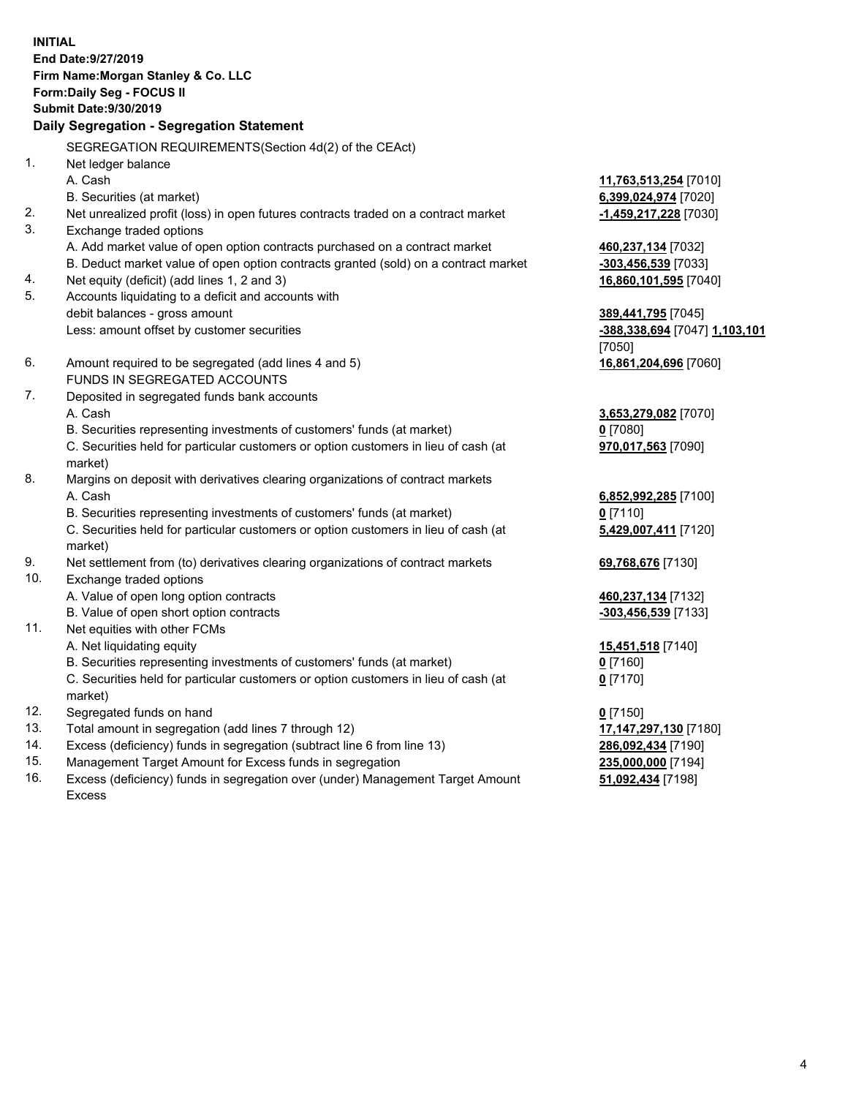**INITIAL End Date:9/27/2019 Firm Name:Morgan Stanley & Co. LLC Form:Daily Seg - FOCUS II Submit Date:9/30/2019 Daily Segregation - Segregation Statement** SEGREGATION REQUIREMENTS(Section 4d(2) of the CEAct) 1. Net ledger balance A. Cash **11,763,513,254** [7010] B. Securities (at market) **6,399,024,974** [7020] 2. Net unrealized profit (loss) in open futures contracts traded on a contract market **-1,459,217,228** [7030] 3. Exchange traded options A. Add market value of open option contracts purchased on a contract market **460,237,134** [7032] B. Deduct market value of open option contracts granted (sold) on a contract market **-303,456,539** [7033] 4. Net equity (deficit) (add lines 1, 2 and 3) **16,860,101,595** [7040] 5. Accounts liquidating to a deficit and accounts with debit balances - gross amount **389,441,795** [7045] Less: amount offset by customer securities **-388,338,694** [7047] **1,103,101** [7050] 6. Amount required to be segregated (add lines 4 and 5) **16,861,204,696** [7060] FUNDS IN SEGREGATED ACCOUNTS 7. Deposited in segregated funds bank accounts A. Cash **3,653,279,082** [7070] B. Securities representing investments of customers' funds (at market) **0** [7080] C. Securities held for particular customers or option customers in lieu of cash (at market) **970,017,563** [7090] 8. Margins on deposit with derivatives clearing organizations of contract markets A. Cash **6,852,992,285** [7100] B. Securities representing investments of customers' funds (at market) **0** [7110] C. Securities held for particular customers or option customers in lieu of cash (at market) **5,429,007,411** [7120] 9. Net settlement from (to) derivatives clearing organizations of contract markets **69,768,676** [7130] 10. Exchange traded options A. Value of open long option contracts **460,237,134** [7132] B. Value of open short option contracts **-303,456,539** [7133] 11. Net equities with other FCMs A. Net liquidating equity **15,451,518** [7140] B. Securities representing investments of customers' funds (at market) **0** [7160] C. Securities held for particular customers or option customers in lieu of cash (at market) **0** [7170] 12. Segregated funds on hand **0** [7150] 13. Total amount in segregation (add lines 7 through 12) **17,147,297,130** [7180] 14. Excess (deficiency) funds in segregation (subtract line 6 from line 13) **286,092,434** [7190] 15. Management Target Amount for Excess funds in segregation **235,000,000** [7194]

16. Excess (deficiency) funds in segregation over (under) Management Target Amount Excess

**51,092,434** [7198]